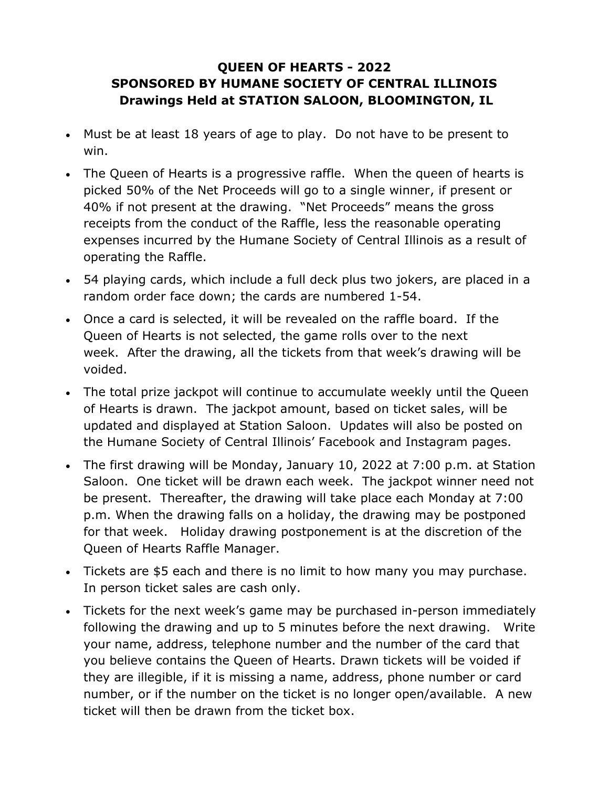## **QUEEN OF HEARTS - 2022 SPONSORED BY HUMANE SOCIETY OF CENTRAL ILLINOIS Drawings Held at STATION SALOON, BLOOMINGTON, IL**

- Must be at least 18 years of age to play. Do not have to be present to win.
- The Queen of Hearts is a progressive raffle. When the queen of hearts is picked 50% of the Net Proceeds will go to a single winner, if present or 40% if not present at the drawing. "Net Proceeds" means the gross receipts from the conduct of the Raffle, less the reasonable operating expenses incurred by the Humane Society of Central Illinois as a result of operating the Raffle.
- 54 playing cards, which include a full deck plus two jokers, are placed in a random order face down; the cards are numbered 1-54.
- Once a card is selected, it will be revealed on the raffle board. If the Queen of Hearts is not selected, the game rolls over to the next week. After the drawing, all the tickets from that week's drawing will be voided.
- The total prize jackpot will continue to accumulate weekly until the Queen of Hearts is drawn. The jackpot amount, based on ticket sales, will be updated and displayed at Station Saloon. Updates will also be posted on the Humane Society of Central Illinois' Facebook and Instagram pages.
- The first drawing will be Monday, January 10, 2022 at 7:00 p.m. at Station Saloon. One ticket will be drawn each week. The jackpot winner need not be present. Thereafter, the drawing will take place each Monday at 7:00 p.m. When the drawing falls on a holiday, the drawing may be postponed for that week. Holiday drawing postponement is at the discretion of the Queen of Hearts Raffle Manager.
- Tickets are \$5 each and there is no limit to how many you may purchase. In person ticket sales are cash only.
- Tickets for the next week's game may be purchased in-person immediately following the drawing and up to 5 minutes before the next drawing. Write your name, address, telephone number and the number of the card that you believe contains the Queen of Hearts. Drawn tickets will be voided if they are illegible, if it is missing a name, address, phone number or card number, or if the number on the ticket is no longer open/available. A new ticket will then be drawn from the ticket box.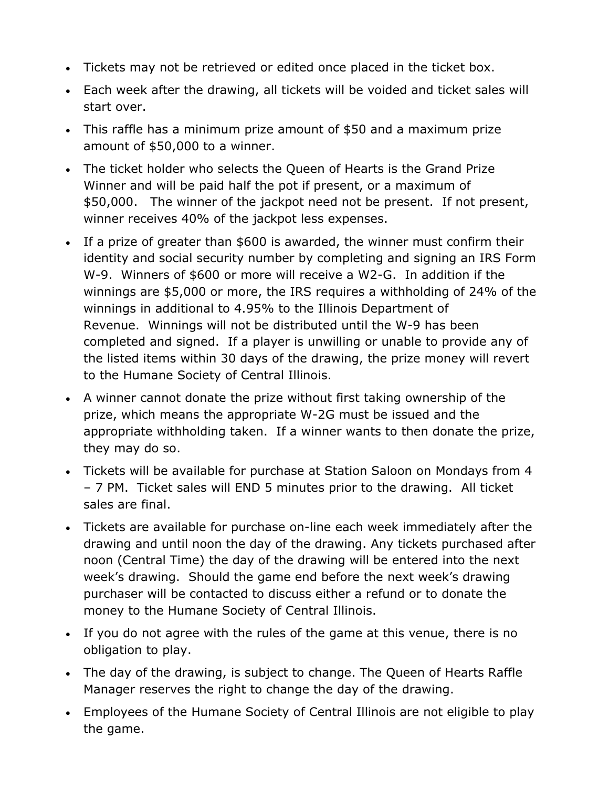- Tickets may not be retrieved or edited once placed in the ticket box.
- Each week after the drawing, all tickets will be voided and ticket sales will start over.
- This raffle has a minimum prize amount of \$50 and a maximum prize amount of \$50,000 to a winner.
- The ticket holder who selects the Queen of Hearts is the Grand Prize Winner and will be paid half the pot if present, or a maximum of \$50,000. The winner of the jackpot need not be present. If not present, winner receives 40% of the jackpot less expenses.
- If a prize of greater than \$600 is awarded, the winner must confirm their identity and social security number by completing and signing an IRS Form W-9. Winners of \$600 or more will receive a W2-G. In addition if the winnings are \$5,000 or more, the IRS requires a withholding of 24% of the winnings in additional to 4.95% to the Illinois Department of Revenue. Winnings will not be distributed until the W-9 has been completed and signed. If a player is unwilling or unable to provide any of the listed items within 30 days of the drawing, the prize money will revert to the Humane Society of Central Illinois.
- A winner cannot donate the prize without first taking ownership of the prize, which means the appropriate W-2G must be issued and the appropriate withholding taken. If a winner wants to then donate the prize, they may do so.
- Tickets will be available for purchase at Station Saloon on Mondays from 4 – 7 PM. Ticket sales will END 5 minutes prior to the drawing. All ticket sales are final.
- Tickets are available for purchase on-line each week immediately after the drawing and until noon the day of the drawing. Any tickets purchased after noon (Central Time) the day of the drawing will be entered into the next week's drawing. Should the game end before the next week's drawing purchaser will be contacted to discuss either a refund or to donate the money to the Humane Society of Central Illinois.
- If you do not agree with the rules of the game at this venue, there is no obligation to play.
- The day of the drawing, is subject to change. The Queen of Hearts Raffle Manager reserves the right to change the day of the drawing.
- Employees of the Humane Society of Central Illinois are not eligible to play the game.